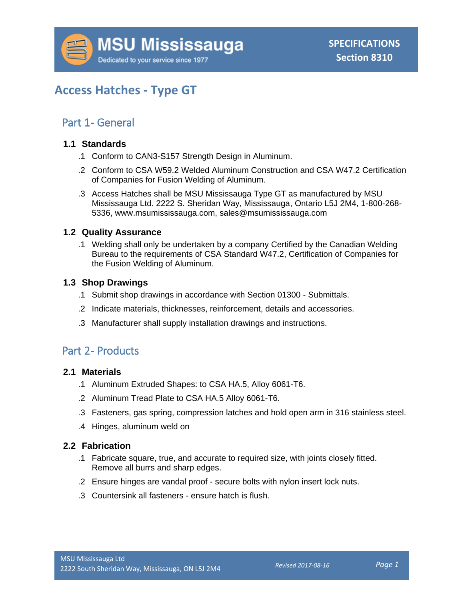# **Access Hatches - Type GT**

### Part 1 - General

#### **1.1 Standards**

- .1 Conform to CAN3-S157 Strength Design in Aluminum.
- .2 Conform to CSA W59.2 Welded Aluminum Construction and CSA W47.2 Certification of Companies for Fusion Welding of Aluminum.
- .3 Access Hatches shall be MSU Mississauga Type GT as manufactured by MSU Mississauga Ltd. 2222 S. Sheridan Way, Mississauga, Ontario L5J 2M4, 1-800-268- 5336, www.msumississauga.com, sales@msumississauga.com

#### **1.2 Quality Assurance**

.1 Welding shall only be undertaken by a company Certified by the Canadian Welding Bureau to the requirements of CSA Standard W47.2, Certification of Companies for the Fusion Welding of Aluminum.

#### **1.3 Shop Drawings**

- .1 Submit shop drawings in accordance with Section 01300 Submittals.
- .2 Indicate materials, thicknesses, reinforcement, details and accessories.
- .3 Manufacturer shall supply installation drawings and instructions.

## Part 2- Products

#### **2.1 Materials**

- .1 Aluminum Extruded Shapes: to CSA HA.5, Alloy 6061-T6.
- .2 Aluminum Tread Plate to CSA HA.5 Alloy 6061-T6.
- .3 Fasteners, gas spring, compression latches and hold open arm in 316 stainless steel.
- .4 Hinges, aluminum weld on

#### **2.2 Fabrication**

- .1 Fabricate square, true, and accurate to required size, with joints closely fitted. Remove all burrs and sharp edges.
- .2 Ensure hinges are vandal proof secure bolts with nylon insert lock nuts.
- .3 Countersink all fasteners ensure hatch is flush.